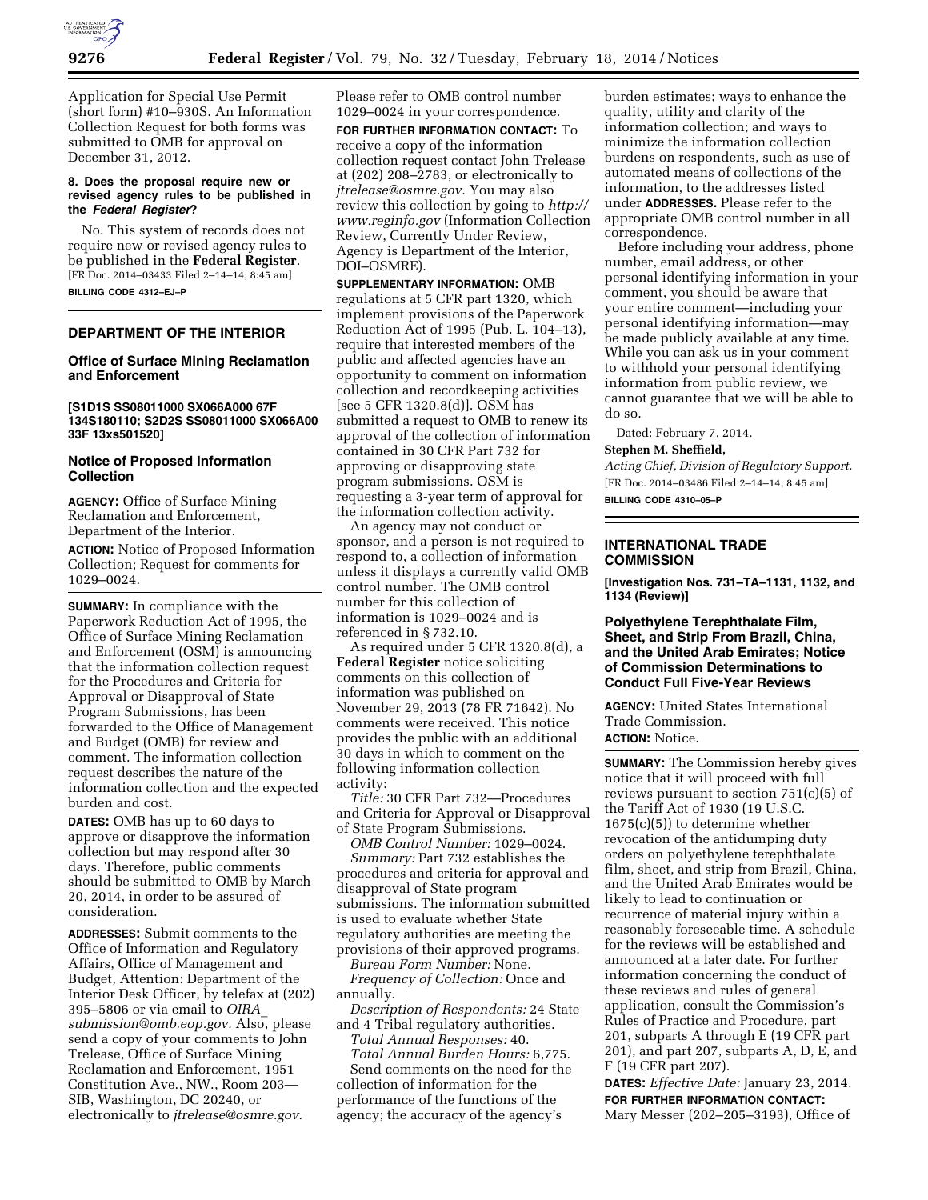

Application for Special Use Permit (short form) #10–930S. An Information Collection Request for both forms was submitted to OMB for approval on December 31, 2012.

#### **8. Does the proposal require new or revised agency rules to be published in the** *Federal Register***?**

No. This system of records does not require new or revised agency rules to be published in the **Federal Register**. [FR Doc. 2014–03433 Filed 2–14–14; 8:45 am] **BILLING CODE 4312–EJ–P** 

# **DEPARTMENT OF THE INTERIOR**

## **Office of Surface Mining Reclamation and Enforcement**

**[S1D1S SS08011000 SX066A000 67F 134S180110; S2D2S SS08011000 SX066A00 33F 13xs501520]** 

## **Notice of Proposed Information Collection**

**AGENCY:** Office of Surface Mining Reclamation and Enforcement, Department of the Interior.

**ACTION:** Notice of Proposed Information Collection; Request for comments for 1029–0024.

**SUMMARY:** In compliance with the Paperwork Reduction Act of 1995, the Office of Surface Mining Reclamation and Enforcement (OSM) is announcing that the information collection request for the Procedures and Criteria for Approval or Disapproval of State Program Submissions, has been forwarded to the Office of Management and Budget (OMB) for review and comment. The information collection request describes the nature of the information collection and the expected burden and cost.

**DATES:** OMB has up to 60 days to approve or disapprove the information collection but may respond after 30 days. Therefore, public comments should be submitted to OMB by March 20, 2014, in order to be assured of consideration.

**ADDRESSES:** Submit comments to the Office of Information and Regulatory Affairs, Office of Management and Budget, Attention: Department of the Interior Desk Officer, by telefax at (202) 395–5806 or via email to *[OIRA](mailto:OIRA_submission@omb.eop.gov)*\_ *[submission@omb.eop.gov.](mailto:OIRA_submission@omb.eop.gov)* Also, please send a copy of your comments to John Trelease, Office of Surface Mining Reclamation and Enforcement, 1951 Constitution Ave., NW., Room 203— SIB, Washington, DC 20240, or electronically to *[jtrelease@osmre.gov.](mailto:jtrelease@osmre.gov)* 

Please refer to OMB control number 1029–0024 in your correspondence. **FOR FURTHER INFORMATION CONTACT:** To receive a copy of the information collection request contact John Trelease at (202) 208–2783, or electronically to *[jtrelease@osmre.gov.](mailto:jtrelease@osmre.gov)* You may also review this collection by going to *[http://](http://www.reginfo.gov) [www.reginfo.gov](http://www.reginfo.gov)* (Information Collection Review, Currently Under Review, Agency is Department of the Interior, DOI–OSMRE).

**SUPPLEMENTARY INFORMATION:** OMB regulations at 5 CFR part 1320, which implement provisions of the Paperwork Reduction Act of 1995 (Pub. L. 104–13), require that interested members of the public and affected agencies have an opportunity to comment on information collection and recordkeeping activities [see 5 CFR 1320.8(d)]. OSM has submitted a request to OMB to renew its approval of the collection of information contained in 30 CFR Part 732 for approving or disapproving state program submissions. OSM is requesting a 3-year term of approval for the information collection activity.

An agency may not conduct or sponsor, and a person is not required to respond to, a collection of information unless it displays a currently valid OMB control number. The OMB control number for this collection of information is 1029–0024 and is referenced in § 732.10.

As required under 5 CFR 1320.8(d), a **Federal Register** notice soliciting comments on this collection of information was published on November 29, 2013 (78 FR 71642). No comments were received. This notice provides the public with an additional 30 days in which to comment on the following information collection activity:

*Title:* 30 CFR Part 732—Procedures and Criteria for Approval or Disapproval of State Program Submissions.

*OMB Control Number:* 1029–0024. *Summary:* Part 732 establishes the procedures and criteria for approval and disapproval of State program submissions. The information submitted is used to evaluate whether State regulatory authorities are meeting the provisions of their approved programs.

*Bureau Form Number:* None. *Frequency of Collection:* Once and annually.

*Description of Respondents:* 24 State and 4 Tribal regulatory authorities.

*Total Annual Responses:* 40. *Total Annual Burden Hours:* 6,775. Send comments on the need for the collection of information for the performance of the functions of the agency; the accuracy of the agency's

burden estimates; ways to enhance the quality, utility and clarity of the information collection; and ways to minimize the information collection burdens on respondents, such as use of automated means of collections of the information, to the addresses listed under **ADDRESSES.** Please refer to the appropriate OMB control number in all correspondence.

Before including your address, phone number, email address, or other personal identifying information in your comment, you should be aware that your entire comment—including your personal identifying information—may be made publicly available at any time. While you can ask us in your comment to withhold your personal identifying information from public review, we cannot guarantee that we will be able to do so.

Dated: February 7, 2014. **Stephen M. Sheffield,** 

*Acting Chief, Division of Regulatory Support.*  [FR Doc. 2014–03486 Filed 2–14–14; 8:45 am] **BILLING CODE 4310–05–P** 

## **INTERNATIONAL TRADE COMMISSION**

**[Investigation Nos. 731–TA–1131, 1132, and 1134 (Review)]** 

**Polyethylene Terephthalate Film, Sheet, and Strip From Brazil, China, and the United Arab Emirates; Notice of Commission Determinations to Conduct Full Five-Year Reviews** 

**AGENCY:** United States International Trade Commission.

# **ACTION:** Notice.

**SUMMARY:** The Commission hereby gives notice that it will proceed with full reviews pursuant to section  $751(c)(5)$  of the Tariff Act of 1930 (19 U.S.C. 1675(c)(5)) to determine whether revocation of the antidumping duty orders on polyethylene terephthalate film, sheet, and strip from Brazil, China, and the United Arab Emirates would be likely to lead to continuation or recurrence of material injury within a reasonably foreseeable time. A schedule for the reviews will be established and announced at a later date. For further information concerning the conduct of these reviews and rules of general application, consult the Commission's Rules of Practice and Procedure, part 201, subparts A through E (19 CFR part 201), and part 207, subparts A, D, E, and F (19 CFR part 207).

**DATES:** *Effective Date:* January 23, 2014. **FOR FURTHER INFORMATION CONTACT:**  Mary Messer (202–205–3193), Office of